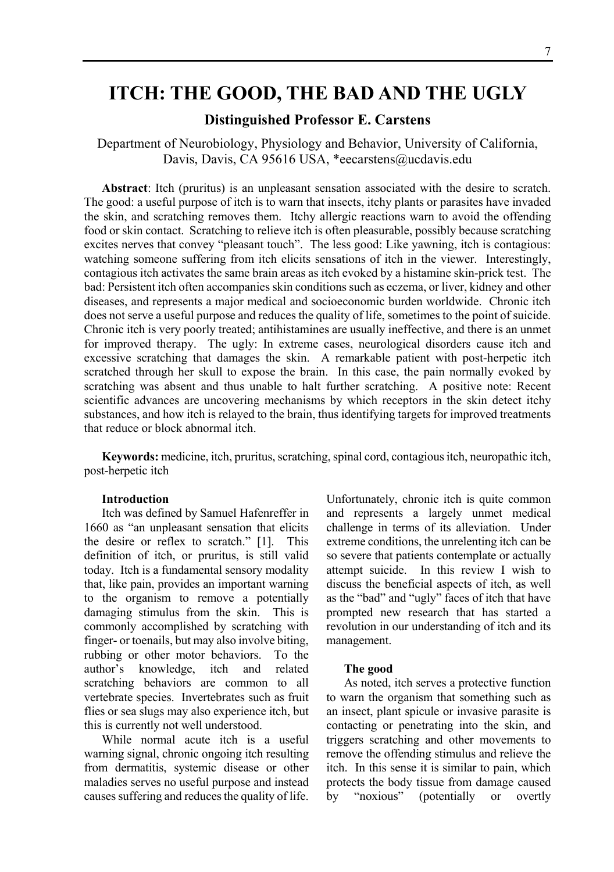# **ITCH: THE GOOD, THE BAD AND THE UGLY**

# **Distinguished Professor E. Carstens**

Department of Neurobiology, Physiology and Behavior, University of California, Davis, Davis, CA 95616 USA, \*eecarstens@ucdavis.edu

**Abstract**: Itch (pruritus) is an unpleasant sensation associated with the desire to scratch. The good: a useful purpose of itch is to warn that insects, itchy plants or parasites have invaded the skin, and scratching removes them. Itchy allergic reactions warn to avoid the offending food or skin contact. Scratching to relieve itch is often pleasurable, possibly because scratching excites nerves that convey "pleasant touch". The less good: Like yawning, itch is contagious: watching someone suffering from itch elicits sensations of itch in the viewer. Interestingly, contagious itch activates the same brain areas as itch evoked by a histamine skin-prick test. The bad: Persistent itch often accompanies skin conditions such as eczema, or liver, kidney and other diseases, and represents a major medical and socioeconomic burden worldwide. Chronic itch does not serve a useful purpose and reduces the quality of life, sometimes to the point of suicide. Chronic itch is very poorly treated; antihistamines are usually ineffective, and there is an unmet for improved therapy. The ugly: In extreme cases, neurological disorders cause itch and excessive scratching that damages the skin. A remarkable patient with post-herpetic itch scratched through her skull to expose the brain. In this case, the pain normally evoked by scratching was absent and thus unable to halt further scratching. A positive note: Recent scientific advances are uncovering mechanisms by which receptors in the skin detect itchy substances, and how itch is relayed to the brain, thus identifying targets for improved treatments that reduce or block abnormal itch.

**Keywords:** medicine, itch, pruritus, scratching, spinal cord, contagious itch, neuropathic itch, post-herpetic itch

## **Introduction**

Itch was defined by Samuel Hafenreffer in 1660 as "an unpleasant sensation that elicits the desire or reflex to scratch." [1]. This definition of itch, or pruritus, is still valid today. Itch is a fundamental sensory modality that, like pain, provides an important warning to the organism to remove a potentially damaging stimulus from the skin. This is commonly accomplished by scratching with finger- or toenails, but may also involve biting, rubbing or other motor behaviors. To the author's knowledge, itch and related scratching behaviors are common to all vertebrate species. Invertebrates such as fruit flies or sea slugs may also experience itch, but this is currently not well understood.

While normal acute itch is a useful warning signal, chronic ongoing itch resulting from dermatitis, systemic disease or other maladies serves no useful purpose and instead causes suffering and reduces the quality of life.

Unfortunately, chronic itch is quite common and represents a largely unmet medical challenge in terms of its alleviation. Under extreme conditions, the unrelenting itch can be so severe that patients contemplate or actually attempt suicide. In this review I wish to discuss the beneficial aspects of itch, as well as the "bad" and "ugly" faces of itch that have prompted new research that has started a revolution in our understanding of itch and its management.

#### **The good**

As noted, itch serves a protective function to warn the organism that something such as an insect, plant spicule or invasive parasite is contacting or penetrating into the skin, and triggers scratching and other movements to remove the offending stimulus and relieve the itch. In this sense it is similar to pain, which protects the body tissue from damage caused by "noxious" (potentially or overtly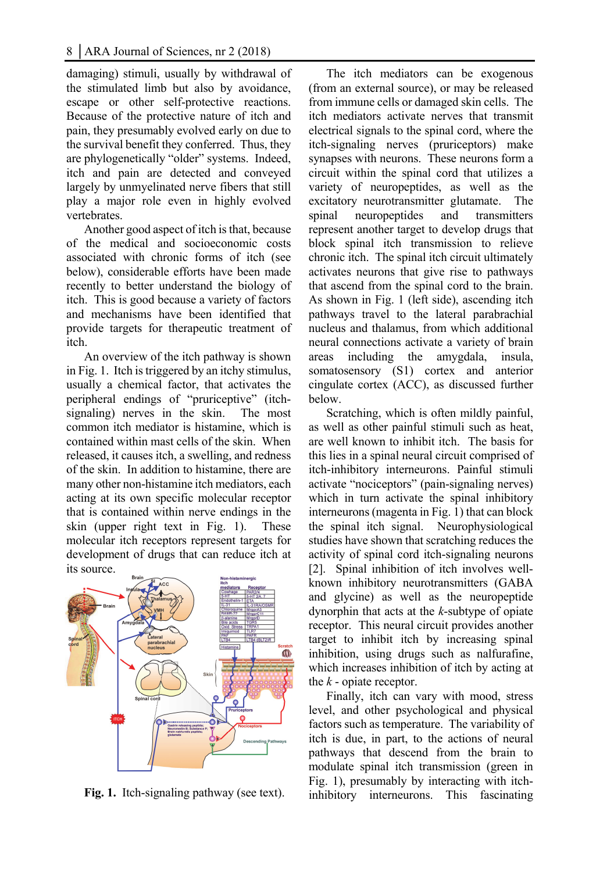damaging) stimuli, usually by withdrawal of the stimulated limb but also by avoidance, escape or other self-protective reactions. Because of the protective nature of itch and pain, they presumably evolved early on due to the survival benefit they conferred. Thus, they are phylogenetically "older" systems. Indeed, itch and pain are detected and conveyed largely by unmyelinated nerve fibers that still play a major role even in highly evolved vertebrates.

Another good aspect of itch is that, because of the medical and socioeconomic costs associated with chronic forms of itch (see below), considerable efforts have been made recently to better understand the biology of itch. This is good because a variety of factors and mechanisms have been identified that provide targets for therapeutic treatment of itch.

An overview of the itch pathway is shown in Fig. 1. Itch is triggered by an itchy stimulus, usually a chemical factor, that activates the peripheral endings of "pruriceptive" (itchsignaling) nerves in the skin. The most common itch mediator is histamine, which is contained within mast cells of the skin. When released, it causes itch, a swelling, and redness of the skin. In addition to histamine, there are many other non-histamine itch mediators, each acting at its own specific molecular receptor that is contained within nerve endings in the skin (upper right text in Fig. 1). These molecular itch receptors represent targets for development of drugs that can reduce itch at its source.



**Fig. 1.** Itch-signaling pathway (see text).

The itch mediators can be exogenous (from an external source), or may be released from immune cells or damaged skin cells. The itch mediators activate nerves that transmit electrical signals to the spinal cord, where the itch-signaling nerves (pruriceptors) make synapses with neurons. These neurons form a circuit within the spinal cord that utilizes a variety of neuropeptides, as well as the excitatory neurotransmitter glutamate. The spinal neuropeptides and transmitters represent another target to develop drugs that block spinal itch transmission to relieve chronic itch. The spinal itch circuit ultimately activates neurons that give rise to pathways that ascend from the spinal cord to the brain. As shown in Fig. 1 (left side), ascending itch pathways travel to the lateral parabrachial nucleus and thalamus, from which additional neural connections activate a variety of brain areas including the amygdala, insula, somatosensory (S1) cortex and anterior cingulate cortex (ACC), as discussed further below.

Scratching, which is often mildly painful, as well as other painful stimuli such as heat, are well known to inhibit itch. The basis for this lies in a spinal neural circuit comprised of itch-inhibitory interneurons. Painful stimuli activate "nociceptors" (pain-signaling nerves) which in turn activate the spinal inhibitory interneurons (magenta in Fig. 1) that can block the spinal itch signal. Neurophysiological studies have shown that scratching reduces the activity of spinal cord itch-signaling neurons [2]. Spinal inhibition of itch involves wellknown inhibitory neurotransmitters (GABA and glycine) as well as the neuropeptide dynorphin that acts at the *k*-subtype of opiate receptor. This neural circuit provides another target to inhibit itch by increasing spinal inhibition, using drugs such as nalfurafine, which increases inhibition of itch by acting at the *k* - opiate receptor.

Finally, itch can vary with mood, stress level, and other psychological and physical factors such as temperature. The variability of itch is due, in part, to the actions of neural pathways that descend from the brain to modulate spinal itch transmission (green in Fig. 1), presumably by interacting with itchinhibitory interneurons. This fascinating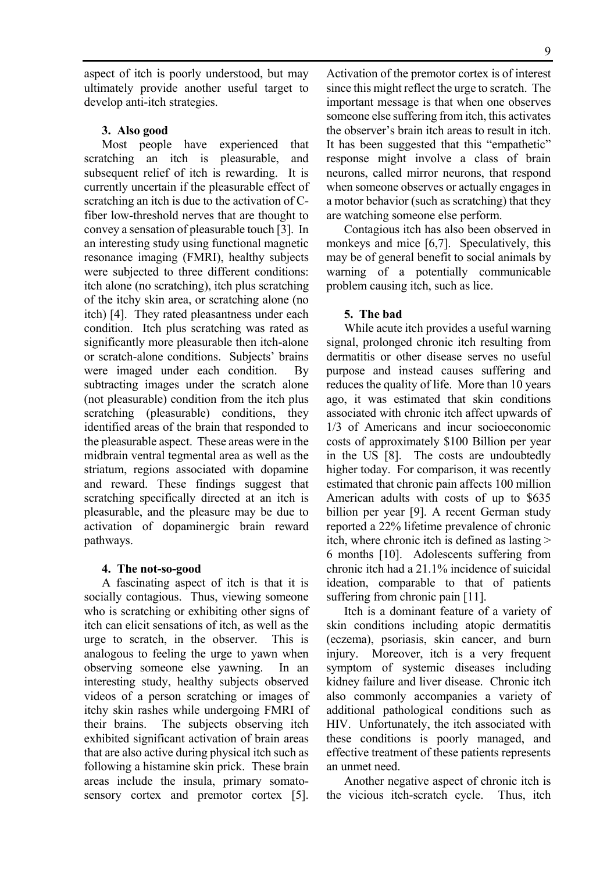aspect of itch is poorly understood, but may ultimately provide another useful target to develop anti-itch strategies.

#### **3. Also good**

Most people have experienced that scratching an itch is pleasurable, and subsequent relief of itch is rewarding. It is currently uncertain if the pleasurable effect of scratching an itch is due to the activation of Cfiber low-threshold nerves that are thought to convey a sensation of pleasurable touch [3]. In an interesting study using functional magnetic resonance imaging (FMRI), healthy subjects were subjected to three different conditions: itch alone (no scratching), itch plus scratching of the itchy skin area, or scratching alone (no itch) [4]. They rated pleasantness under each condition. Itch plus scratching was rated as significantly more pleasurable then itch-alone or scratch-alone conditions. Subjects' brains were imaged under each condition. By subtracting images under the scratch alone (not pleasurable) condition from the itch plus scratching (pleasurable) conditions, they identified areas of the brain that responded to the pleasurable aspect. These areas were in the midbrain ventral tegmental area as well as the striatum, regions associated with dopamine and reward. These findings suggest that scratching specifically directed at an itch is pleasurable, and the pleasure may be due to activation of dopaminergic brain reward pathways.

## **4. The not-so-good**

A fascinating aspect of itch is that it is socially contagious. Thus, viewing someone who is scratching or exhibiting other signs of itch can elicit sensations of itch, as well as the urge to scratch, in the observer. This is analogous to feeling the urge to yawn when observing someone else yawning. In an interesting study, healthy subjects observed videos of a person scratching or images of itchy skin rashes while undergoing FMRI of their brains. The subjects observing itch exhibited significant activation of brain areas that are also active during physical itch such as following a histamine skin prick. These brain areas include the insula, primary somatosensory cortex and premotor cortex [5].

Activation of the premotor cortex is of interest since this might reflect the urge to scratch. The important message is that when one observes someone else suffering from itch, this activates the observer's brain itch areas to result in itch. It has been suggested that this "empathetic" response might involve a class of brain neurons, called mirror neurons, that respond when someone observes or actually engages in a motor behavior (such as scratching) that they are watching someone else perform.

Contagious itch has also been observed in monkeys and mice [6,7]. Speculatively, this may be of general benefit to social animals by warning of a potentially communicable problem causing itch, such as lice.

### **5. The bad**

While acute itch provides a useful warning signal, prolonged chronic itch resulting from dermatitis or other disease serves no useful purpose and instead causes suffering and reduces the quality of life. More than 10 years ago, it was estimated that skin conditions associated with chronic itch affect upwards of 1/3 of Americans and incur socioeconomic costs of approximately \$100 Billion per year in the US [8]. The costs are undoubtedly higher today. For comparison, it was recently estimated that chronic pain affects 100 million American adults with costs of up to \$635 billion per year [9]. A recent German study reported a 22% lifetime prevalence of chronic itch, where chronic itch is defined as lasting > 6 months [10]. Adolescents suffering from chronic itch had a 21.1% incidence of suicidal ideation, comparable to that of patients suffering from chronic pain [11].

Itch is a dominant feature of a variety of skin conditions including atopic dermatitis (eczema), psoriasis, skin cancer, and burn injury. Moreover, itch is a very frequent symptom of systemic diseases including kidney failure and liver disease. Chronic itch also commonly accompanies a variety of additional pathological conditions such as HIV. Unfortunately, the itch associated with these conditions is poorly managed, and effective treatment of these patients represents an unmet need.

Another negative aspect of chronic itch is the vicious itch-scratch cycle. Thus, itch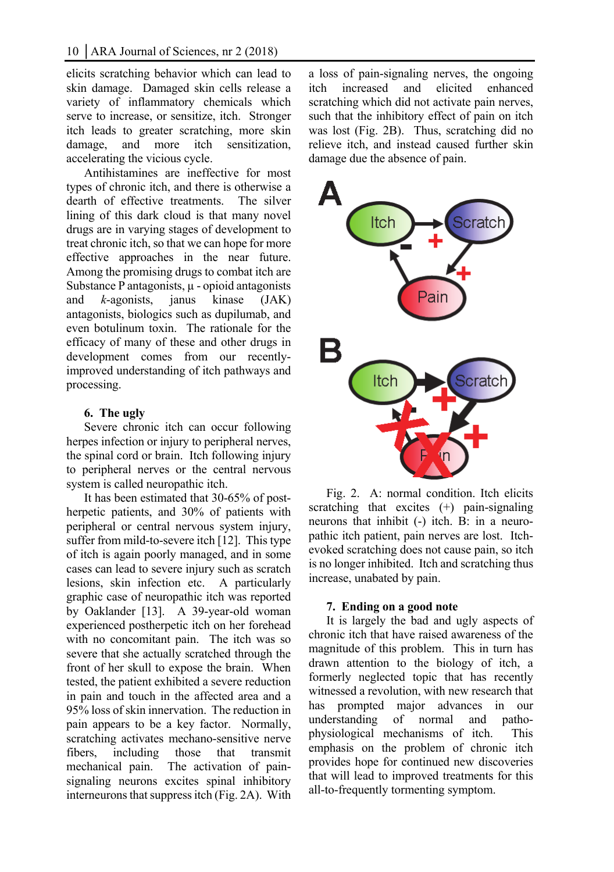elicits scratching behavior which can lead to skin damage. Damaged skin cells release a variety of inflammatory chemicals which serve to increase, or sensitize, itch. Stronger itch leads to greater scratching, more skin damage, and more itch sensitization, accelerating the vicious cycle.

Antihistamines are ineffective for most types of chronic itch, and there is otherwise a dearth of effective treatments. The silver lining of this dark cloud is that many novel drugs are in varying stages of development to treat chronic itch, so that we can hope for more effective approaches in the near future. Among the promising drugs to combat itch are Substance P antagonists,  $\mu$  - opioid antagonists and *k*-agonists, janus kinase (JAK) antagonists, biologics such as dupilumab, and even botulinum toxin. The rationale for the efficacy of many of these and other drugs in development comes from our recentlyimproved understanding of itch pathways and processing.

# **6. The ugly**

Severe chronic itch can occur following herpes infection or injury to peripheral nerves, the spinal cord or brain. Itch following injury to peripheral nerves or the central nervous system is called neuropathic itch.

It has been estimated that 30-65% of postherpetic patients, and 30% of patients with peripheral or central nervous system injury, suffer from mild-to-severe itch [12]. This type of itch is again poorly managed, and in some cases can lead to severe injury such as scratch lesions, skin infection etc. A particularly graphic case of neuropathic itch was reported by Oaklander [13]. A 39-year-old woman experienced postherpetic itch on her forehead with no concomitant pain. The itch was so severe that she actually scratched through the front of her skull to expose the brain. When tested, the patient exhibited a severe reduction in pain and touch in the affected area and a 95% loss of skin innervation. The reduction in pain appears to be a key factor. Normally, scratching activates mechano-sensitive nerve fibers, including those that transmit mechanical pain. The activation of painsignaling neurons excites spinal inhibitory interneurons that suppress itch (Fig. 2A). With a loss of pain-signaling nerves, the ongoing itch increased and elicited enhanced scratching which did not activate pain nerves, such that the inhibitory effect of pain on itch was lost (Fig. 2B). Thus, scratching did no relieve itch, and instead caused further skin damage due the absence of pain.



Fig. 2. A: normal condition. Itch elicits scratching that excites  $(+)$  pain-signaling neurons that inhibit (-) itch. B: in a neuropathic itch patient, pain nerves are lost. Itchevoked scratching does not cause pain, so itch is no longer inhibited. Itch and scratching thus increase, unabated by pain.

# **7. Ending on a good note**

It is largely the bad and ugly aspects of chronic itch that have raised awareness of the magnitude of this problem. This in turn has drawn attention to the biology of itch, a formerly neglected topic that has recently witnessed a revolution, with new research that has prompted major advances in our understanding of normal and pathophysiological mechanisms of itch. This emphasis on the problem of chronic itch provides hope for continued new discoveries that will lead to improved treatments for this all-to-frequently tormenting symptom.